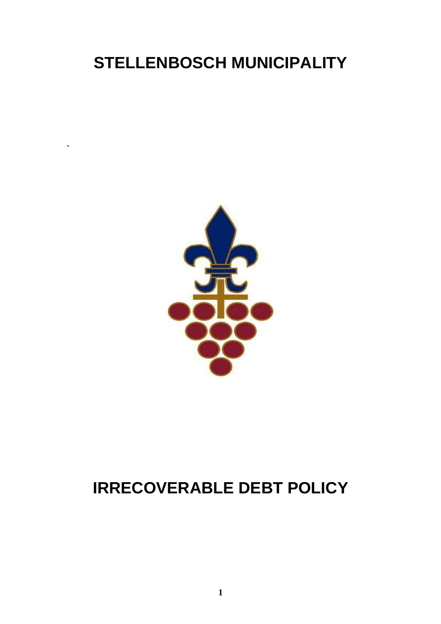# **STELLENBOSCH MUNICIPALITY**

**`** 



# **IRRECOVERABLE DEBT POLICY**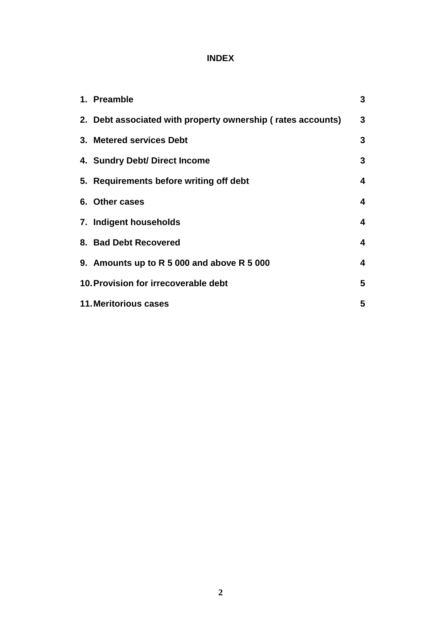# **INDEX**

| 1. Preamble                                                 | 3 |
|-------------------------------------------------------------|---|
| 2. Debt associated with property ownership (rates accounts) | 3 |
| 3. Metered services Debt                                    | 3 |
| 4. Sundry Debt/ Direct Income                               | 3 |
| 5. Requirements before writing off debt                     | 4 |
| 6. Other cases                                              | 4 |
| 7. Indigent households                                      | 4 |
| 8. Bad Debt Recovered                                       | 4 |
| 9. Amounts up to R 5 000 and above R 5 000                  | 4 |
| 10. Provision for irrecoverable debt                        | 5 |
| <b>11. Meritorious cases</b>                                | 5 |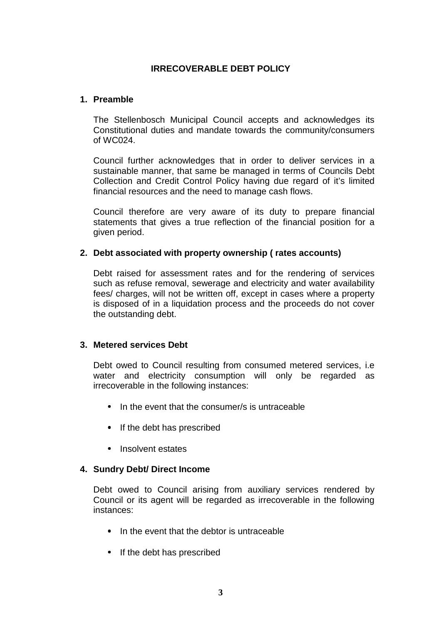# **IRRECOVERABLE DEBT POLICY**

#### **1. Preamble**

The Stellenbosch Municipal Council accepts and acknowledges its Constitutional duties and mandate towards the community/consumers of WC024.

Council further acknowledges that in order to deliver services in a sustainable manner, that same be managed in terms of Councils Debt Collection and Credit Control Policy having due regard of it's limited financial resources and the need to manage cash flows.

Council therefore are very aware of its duty to prepare financial statements that gives a true reflection of the financial position for a given period.

#### **2. Debt associated with property ownership ( rates accounts)**

Debt raised for assessment rates and for the rendering of services such as refuse removal, sewerage and electricity and water availability fees/ charges, will not be written off, except in cases where a property is disposed of in a liquidation process and the proceeds do not cover the outstanding debt.

# **3. Metered services Debt**

Debt owed to Council resulting from consumed metered services, i.e water and electricity consumption will only be regarded as irrecoverable in the following instances:

- In the event that the consumer/s is untraceable
- If the debt has prescribed
- Insolvent estates

# **4. Sundry Debt/ Direct Income**

Debt owed to Council arising from auxiliary services rendered by Council or its agent will be regarded as irrecoverable in the following instances:

- In the event that the debtor is untraceable
- If the debt has prescribed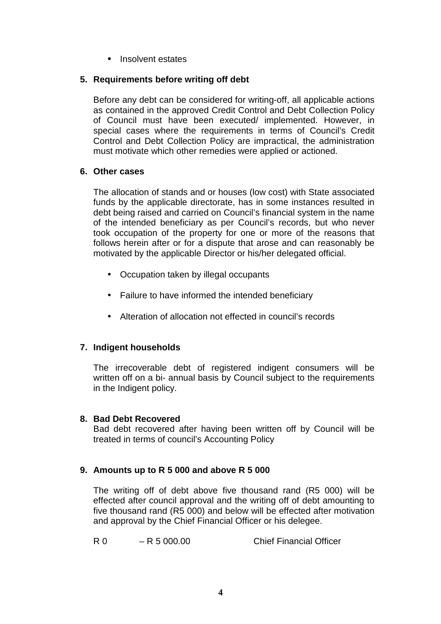• Insolvent estates

# **5. Requirements before writing off debt**

Before any debt can be considered for writing-off, all applicable actions as contained in the approved Credit Control and Debt Collection Policy of Council must have been executed/ implemented. However, in special cases where the requirements in terms of Council's Credit Control and Debt Collection Policy are impractical, the administration must motivate which other remedies were applied or actioned.

# **6. Other cases**

The allocation of stands and or houses (low cost) with State associated funds by the applicable directorate, has in some instances resulted in debt being raised and carried on Council's financial system in the name of the intended beneficiary as per Council's records, but who never took occupation of the property for one or more of the reasons that follows herein after or for a dispute that arose and can reasonably be motivated by the applicable Director or his/her delegated official.

- Occupation taken by illegal occupants
- Failure to have informed the intended beneficiary
- Alteration of allocation not effected in council's records

# **7. Indigent households**

 The irrecoverable debt of registered indigent consumers will be written off on a bi- annual basis by Council subject to the requirements in the Indigent policy.

# **8. Bad Debt Recovered**

Bad debt recovered after having been written off by Council will be treated in terms of council's Accounting Policy

# **9. Amounts up to R 5 000 and above R 5 000**

The writing off of debt above five thousand rand (R5 000) will be effected after council approval and the writing off of debt amounting to five thousand rand (R5 000) and below will be effected after motivation and approval by the Chief Financial Officer or his delegee.

R 0 – R 5 000.00 Chief Financial Officer